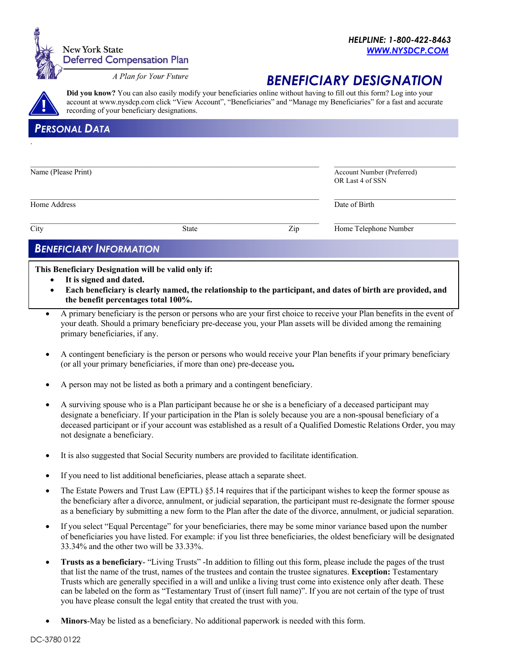

# *BENEFICIARY DESIGNATION*

**Did you know?** You can also easily modify your beneficiaries online without having to fill out this form? Log into your account at www.nysdcp.com click "View Account", "Beneficiaries" and "Manage my Beneficiaries" for a fast and accurate recording of your beneficiary designations.

## *PERSONAL DATA*

.

| Name (Please Print) |              |     | Account Number (Preferred)<br>OR Last 4 of SSN |  |
|---------------------|--------------|-----|------------------------------------------------|--|
| Home Address        |              |     | Date of Birth                                  |  |
| City                | <b>State</b> | Zip | Home Telephone Number                          |  |

## *BENEFICIARY INFORMATION*

**This Beneficiary Designation will be valid only if:**

- It is signed and dated.
- **Each beneficiary is clearly named, the relationship to the participant, and dates of birth are provided, and the benefit percentages total 100%.**
- A primary beneficiary is the person or persons who are your first choice to receive your Plan benefits in the event of your death. Should a primary beneficiary pre-decease you, your Plan assets will be divided among the remaining primary beneficiaries, if any.
- A contingent beneficiary is the person or persons who would receive your Plan benefits if your primary beneficiary (or all your primary beneficiaries, if more than one) pre-decease you**.**
- A person may not be listed as both a primary and a contingent beneficiary.
- A surviving spouse who is a Plan participant because he or she is a beneficiary of a deceased participant may designate a beneficiary. If your participation in the Plan is solely because you are a non-spousal beneficiary of a deceased participant or if your account was established as a result of a Qualified Domestic Relations Order, you may not designate a beneficiary.
- It is also suggested that Social Security numbers are provided to facilitate identification.
- If you need to list additional beneficiaries, please attach a separate sheet.
- The Estate Powers and Trust Law (EPTL) §5.14 requires that if the participant wishes to keep the former spouse as the beneficiary after a divorce, annulment, or judicial separation, the participant must re-designate the former spouse as a beneficiary by submitting a new form to the Plan after the date of the divorce, annulment, or judicial separation.
- If you select "Equal Percentage" for your beneficiaries, there may be some minor variance based upon the number of beneficiaries you have listed. For example: if you list three beneficiaries, the oldest beneficiary will be designated 33.34% and the other two will be 33.33%.
- **Trusts as a beneficiary** "Living Trusts" -In addition to filling out this form, please include the pages of the trust that list the name of the trust, names of the trustees and contain the trustee signatures. **Exception:** Testamentary Trusts which are generally specified in a will and unlike a living trust come into existence only after death. These can be labeled on the form as "Testamentary Trust of (insert full name)". If you are not certain of the type of trust you have please consult the legal entity that created the trust with you.
- **Minors**-May be listed as a beneficiary. No additional paperwork is needed with this form.